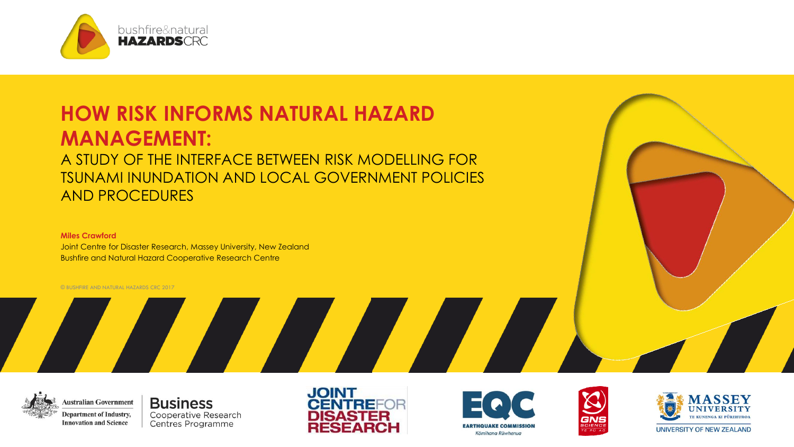

#### **HOW RISK INFORMS NATURAL HAZARD MANAGEMENT:** A STUDY OF THE INTERFACE BETWEEN RISK MODELLING FOR

TSUNAMI INUNDATION AND LOCAL GOVERNMENT POLICIES AND PROCEDURES

#### **Miles Crawford**

Joint Centre for Disaster Research, Massey University, New Zealand Bushfire and Natural Hazard Cooperative Research Centre

© BUSHFIRE AND NATURAL HAZARDS CRC 2017



**Business** Cooperative Research Centres Programme









UNIVERSITY OF NEW ZEALAND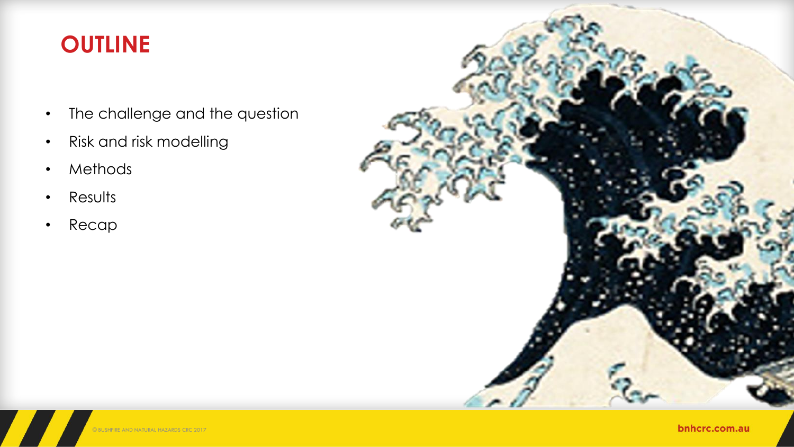## **OUTLINE**

- The challenge and the question
- Risk and risk modelling
- Methods
- Results
- Recap

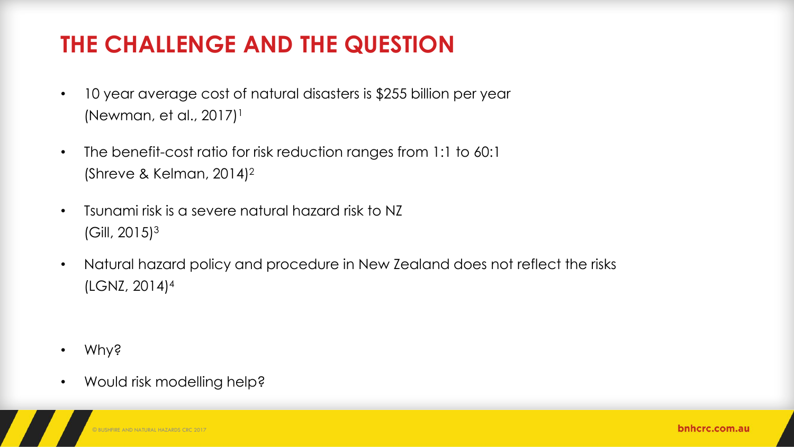# **THE CHALLENGE AND THE QUESTION**

- 10 year average cost of natural disasters is \$255 billion per year (Newman, et al.,  $2017$ )<sup>1</sup>
- The benefit-cost ratio for risk reduction ranges from 1:1 to 60:1 (Shreve & Kelman, 2014)<sup>2</sup>
- Tsunami risk is a severe natural hazard risk to NZ  $(Gill, 2015)^3$
- Natural hazard policy and procedure in New Zealand does not reflect the risks (LGNZ, 2014)<sup>4</sup>

- Why?
- Would risk modelling help?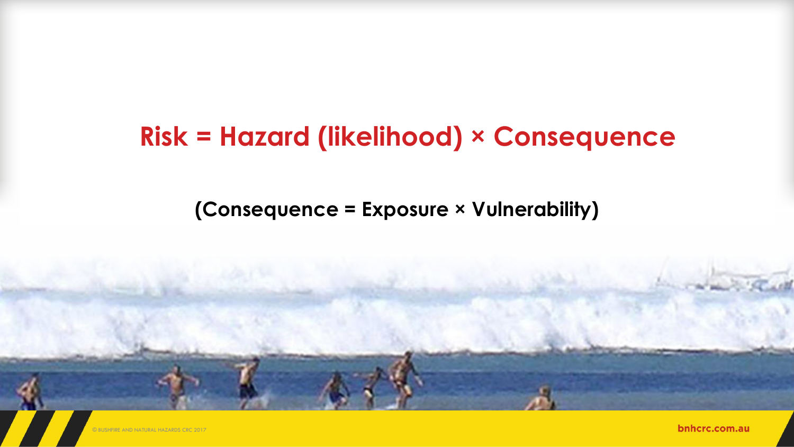# **Risk = Hazard (likelihood) × Consequence**

#### **(Consequence = Exposure × Vulnerability)**

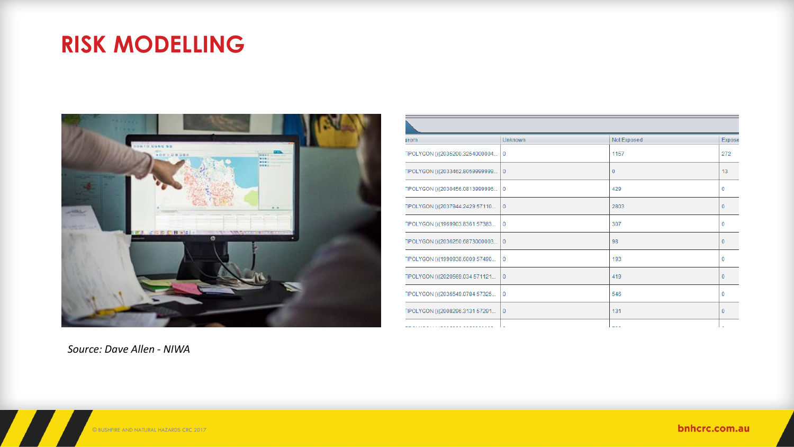### **RISK MODELLING**



| leom.                            | <b>Unknown</b> | Not Exposed | <b>Expos</b> |
|----------------------------------|----------------|-------------|--------------|
| TIPOLYGON (((2035200.3254000004  | $\mathbf{0}$   | 1157        | 272          |
| TPOLYGON (((2033462.80599999999  | $\Omega$       | $\Omega$    | 13           |
| TIPOLYGON (((2030456.0813999996  | $\bf{0}$       | 429         | 0            |
| TPOLYGON (((2037944.2429 57110   | $\mathbf{0}$   | 2803        | 0            |
| TIPOLYGON (((1969903.8361 57383  | $\mathbf{0}$   | 307         | 0            |
| TPOLYGON (((2036250.6873000003 0 |                | 98          | $\mathbf{0}$ |
| TIPOLYGON (((1990938.6009 57490  | $\mathbf{0}$   | 193         | 0            |
| TPOLYGON (((2020569.034 571121   | $\overline{0}$ | 419         | 0            |
| TIPOLYGON (((2036549.0784 57325  | $\mathbf 0$    | 546         | 0            |
| TPOLYGON (((2008296.3131 57291   | $\mathbf{0}$   | 131         | 0            |
|                                  |                |             |              |

*Source: Dave Allen - NIWA*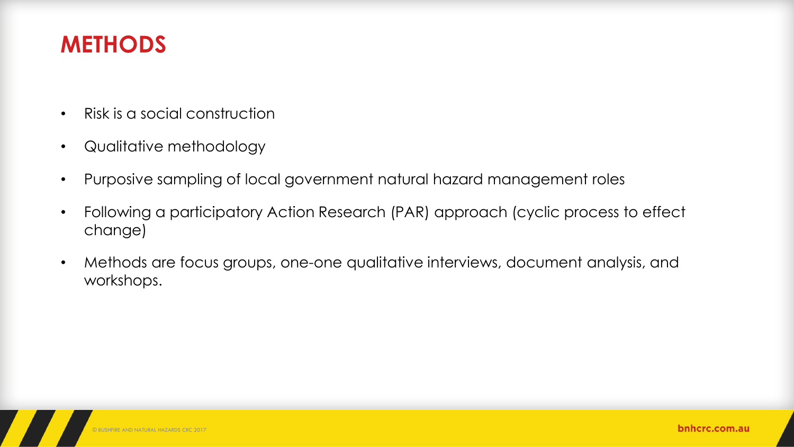### **METHODS**

- Risk is a social construction
- Qualitative methodology
- Purposive sampling of local government natural hazard management roles
- Following a participatory Action Research (PAR) approach (cyclic process to effect change)
- Methods are focus groups, one-one qualitative interviews, document analysis, and workshops.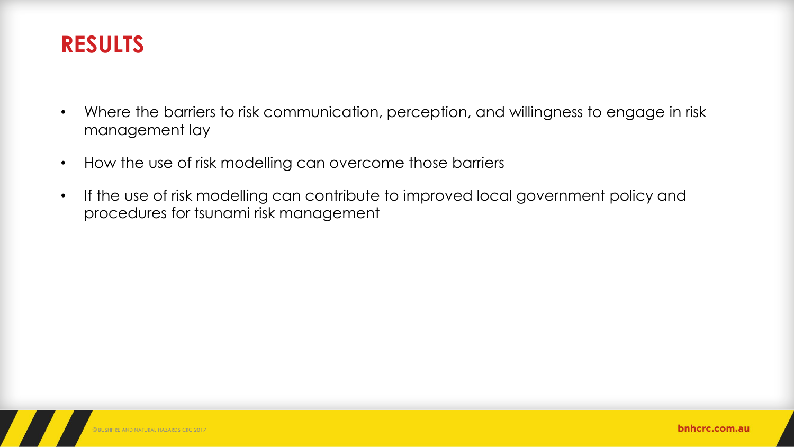#### **RESULTS**

- Where the barriers to risk communication, perception, and willingness to engage in risk management lay
- How the use of risk modelling can overcome those barriers
- If the use of risk modelling can contribute to improved local government policy and procedures for tsunami risk management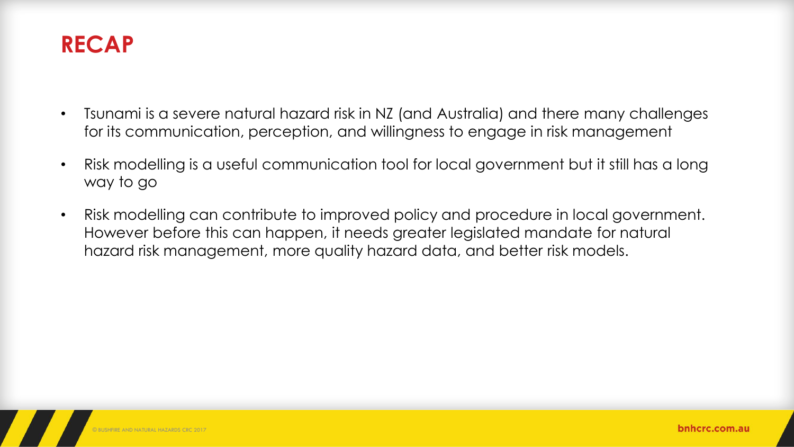

- Tsunami is a severe natural hazard risk in NZ (and Australia) and there many challenges for its communication, perception, and willingness to engage in risk management
- Risk modelling is a useful communication tool for local government but it still has a long way to go
- Risk modelling can contribute to improved policy and procedure in local government. However before this can happen, it needs greater legislated mandate for natural hazard risk management, more quality hazard data, and better risk models.